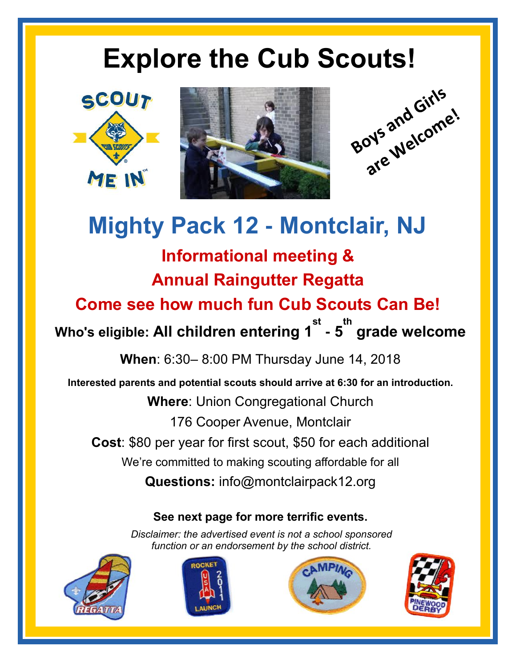## **Explore the Cub Scouts!**







### **Mighty Pack 12 - Montclair, NJ**

**Informational meeting &**

**Annual Raingutter Regatta**

**Come see how much fun Cub Scouts Can Be!**

**Who's eligible: All children entering 1 st - 5 th grade welcome**

**When**: 6:30– 8:00 PM Thursday June 14, 2018

**Interested parents and potential scouts should arrive at 6:30 for an introduction. Where**: Union Congregational Church 176 Cooper Avenue, Montclair **Cost**: \$80 per year for first scout, \$50 for each additional We're committed to making scouting affordable for all **Questions:** info@montclairpack12.org

### **See next page for more terrific events.**

*Disclaimer: the advertised event is not a school sponsored function or an endorsement by the school district.*